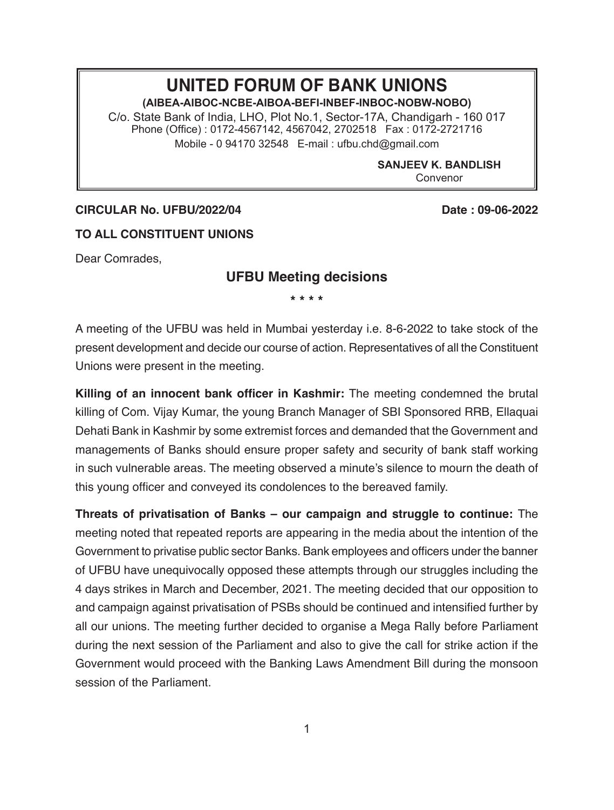## **UNITED FORUM OF BANK UNIONS**

**(AIBEA-AIBOC-NCBE-AIBOA-BEFI-INBEF-INBOC-NOBW-NOBO)**

C/o. State Bank of India, LHO, Plot No.1, Sector-17A, Chandigarh - 160 017 Phone (Office) : 0172-4567142, 4567042, 2702518 Fax : 0172-2721716 Mobile - 0 94170 32548 E-mail : ufbu.chd@gmail.com

> **SANJEEV K. BANDLISH** Convenor

## **CIRCULAR No. UFBU/2022/04 Date : 09-06-2022**

## **TO ALL CONSTITUENT UNIONS**

Dear Comrades,

## **UFBU Meeting decisions**

**\* \* \* \***

A meeting of the UFBU was held in Mumbai yesterday i.e. 8-6-2022 to take stock of the present development and decide our course of action. Representatives of all the Constituent Unions were present in the meeting.

**Killing of an innocent bank officer in Kashmir:** The meeting condemned the brutal killing of Com. Vijay Kumar, the young Branch Manager of SBI Sponsored RRB, Ellaquai Dehati Bank in Kashmir by some extremist forces and demanded that the Government and managements of Banks should ensure proper safety and security of bank staff working in such vulnerable areas. The meeting observed a minute's silence to mourn the death of this young officer and conveyed its condolences to the bereaved family.

**Threats of privatisation of Banks – our campaign and struggle to continue:** The meeting noted that repeated reports are appearing in the media about the intention of the Government to privatise public sector Banks. Bank employees and officers under the banner of UFBU have unequivocally opposed these attempts through our struggles including the 4 days strikes in March and December, 2021. The meeting decided that our opposition to and campaign against privatisation of PSBs should be continued and intensified further by all our unions. The meeting further decided to organise a Mega Rally before Parliament during the next session of the Parliament and also to give the call for strike action if the Government would proceed with the Banking Laws Amendment Bill during the monsoon session of the Parliament.